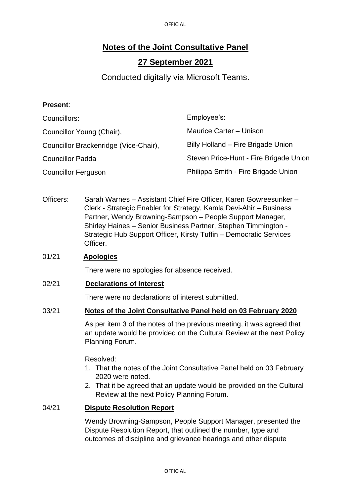OFFICIAL

# **Notes of the Joint Consultative Panel**

## **27 September 2021**

Conducted digitally via Microsoft Teams.

### **Present**:

| Councillors:                          | Employee's:                            |
|---------------------------------------|----------------------------------------|
| Councillor Young (Chair),             | Maurice Carter - Unison                |
| Councillor Brackenridge (Vice-Chair), | Billy Holland - Fire Brigade Union     |
| <b>Councillor Padda</b>               | Steven Price-Hunt - Fire Brigade Union |
| <b>Councillor Ferguson</b>            | Philippa Smith - Fire Brigade Union    |

Officers: Sarah Warnes - Assistant Chief Fire Officer, Karen Gowreesunker -Clerk - Strategic Enabler for Strategy, Kamla Devi-Ahir – Business Partner, Wendy Browning-Sampson – People Support Manager, Shirley Haines – Senior Business Partner, Stephen Timmington - Strategic Hub Support Officer, Kirsty Tuffin – Democratic Services Officer.

#### 01/21 **Apologies**

There were no apologies for absence received.

#### 02/21 **Declarations of Interest**

There were no declarations of interest submitted.

#### 03/21 **Notes of the Joint Consultative Panel held on 03 February 2020**

As per item 3 of the notes of the previous meeting, it was agreed that an update would be provided on the Cultural Review at the next Policy Planning Forum.

Resolved:

- 1. That the notes of the Joint Consultative Panel held on 03 February 2020 were noted.
- 2. That it be agreed that an update would be provided on the Cultural Review at the next Policy Planning Forum.

#### 04/21 **Dispute Resolution Report**

Wendy Browning-Sampson, People Support Manager, presented the Dispute Resolution Report, that outlined the number, type and outcomes of discipline and grievance hearings and other dispute